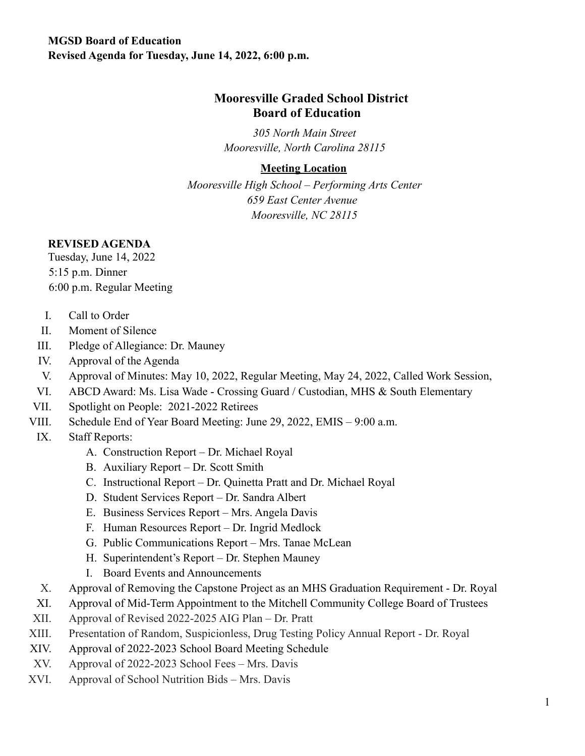### **MGSD Board of Education Revised Agenda for Tuesday, June 14, 2022, 6:00 p.m.**

## **Mooresville Graded School District Board of Education**

*305 North Main Street Mooresville, North Carolina 28115*

### **Meeting Location**

*Mooresville High School – Performing Arts Center 659 East Center Avenue Mooresville, NC 28115*

#### **REVISED AGENDA**

Tuesday, June 14, 2022 5:15 p.m. Dinner 6:00 p.m. Regular Meeting

- I. Call to Order
- II. Moment of Silence
- III. Pledge of Allegiance: Dr. Mauney
- IV. Approval of the Agenda
- V. Approval of Minutes: May 10, 2022, Regular Meeting, May 24, 2022, Called Work Session,
- VI. ABCD Award: Ms. Lisa Wade Crossing Guard / Custodian, MHS & South Elementary
- VII. Spotlight on People: 2021-2022 Retirees
- VIII. Schedule End of Year Board Meeting: June 29, 2022, EMIS 9:00 a.m.
- IX. Staff Reports:
	- A. Construction Report Dr. Michael Royal
	- B. Auxiliary Report Dr. Scott Smith
	- C. Instructional Report Dr. Quinetta Pratt and Dr. Michael Royal
	- D. Student Services Report Dr. Sandra Albert
	- E. Business Services Report Mrs. Angela Davis
	- F. Human Resources Report Dr. Ingrid Medlock
	- G. Public Communications Report Mrs. Tanae McLean
	- H. Superintendent's Report Dr. Stephen Mauney
	- I. Board Events and Announcements
- X. Approval of Removing the Capstone Project as an MHS Graduation Requirement Dr. Royal
- XI. Approval of Mid-Term Appointment to the Mitchell Community College Board of Trustees
- XII. Approval of Revised 2022-2025 AIG Plan Dr. Pratt
- XIII. Presentation of Random, Suspicionless, Drug Testing Policy Annual Report Dr. Royal
- XIV. Approval of 2022-2023 School Board Meeting Schedule
- XV. Approval of 2022-2023 School Fees Mrs. Davis
- XVI. Approval of School Nutrition Bids Mrs. Davis